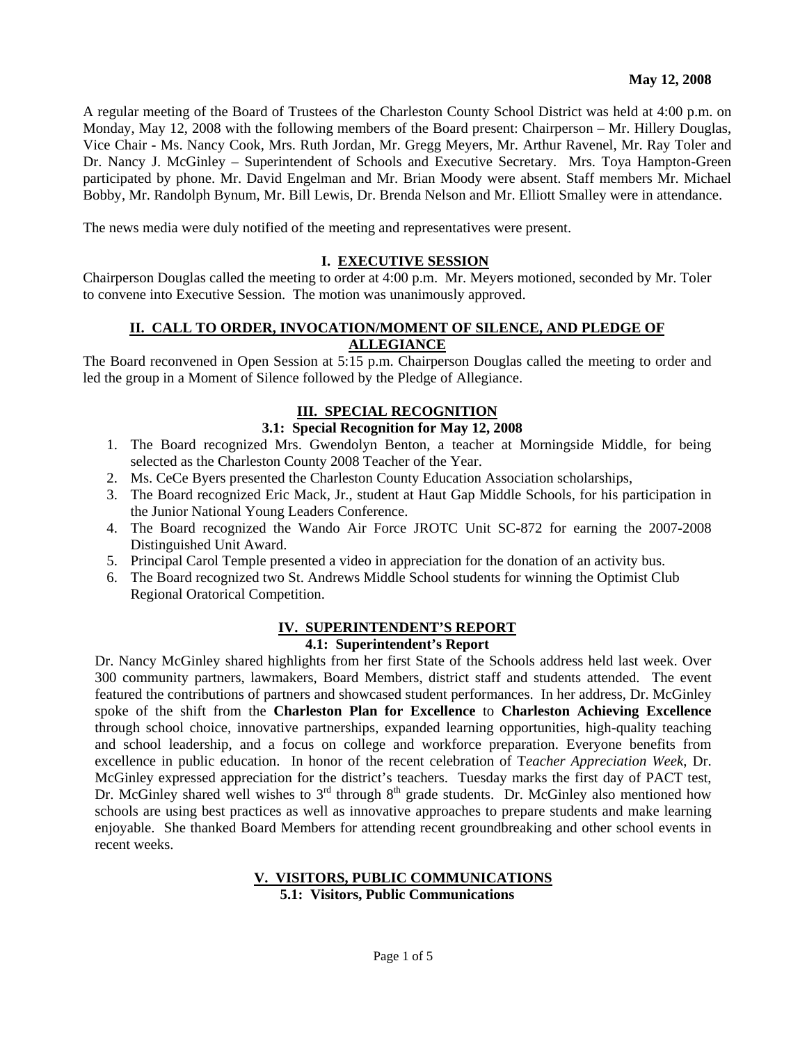A regular meeting of the Board of Trustees of the Charleston County School District was held at 4:00 p.m. on Monday, May 12, 2008 with the following members of the Board present: Chairperson – Mr. Hillery Douglas, Vice Chair - Ms. Nancy Cook, Mrs. Ruth Jordan, Mr. Gregg Meyers, Mr. Arthur Ravenel, Mr. Ray Toler and Dr. Nancy J. McGinley – Superintendent of Schools and Executive Secretary. Mrs. Toya Hampton-Green participated by phone. Mr. David Engelman and Mr. Brian Moody were absent. Staff members Mr. Michael Bobby, Mr. Randolph Bynum, Mr. Bill Lewis, Dr. Brenda Nelson and Mr. Elliott Smalley were in attendance.

The news media were duly notified of the meeting and representatives were present.

#### **I. EXECUTIVE SESSION**

Chairperson Douglas called the meeting to order at 4:00 p.m. Mr. Meyers motioned, seconded by Mr. Toler to convene into Executive Session. The motion was unanimously approved.

### **II. CALL TO ORDER, INVOCATION/MOMENT OF SILENCE, AND PLEDGE OF ALLEGIANCE**

The Board reconvened in Open Session at 5:15 p.m. Chairperson Douglas called the meeting to order and led the group in a Moment of Silence followed by the Pledge of Allegiance.

#### **III. SPECIAL RECOGNITION**

## **3.1: Special Recognition for May 12, 2008**

- 1. The Board recognized Mrs. Gwendolyn Benton, a teacher at Morningside Middle, for being selected as the Charleston County 2008 Teacher of the Year.
- 2. Ms. CeCe Byers presented the Charleston County Education Association scholarships,
- 3. The Board recognized Eric Mack, Jr., student at Haut Gap Middle Schools, for his participation in the Junior National Young Leaders Conference.
- 4. The Board recognized the Wando Air Force JROTC Unit SC-872 for earning the 2007-2008 Distinguished Unit Award.
- 5. Principal Carol Temple presented a video in appreciation for the donation of an activity bus.
- 6. The Board recognized two St. Andrews Middle School students for winning the Optimist Club Regional Oratorical Competition.

#### **IV. SUPERINTENDENT'S REPORT**

#### **4.1: Superintendent's Report**

Dr. Nancy McGinley shared highlights from her first State of the Schools address held last week. Over 300 community partners, lawmakers, Board Members, district staff and students attended. The event featured the contributions of partners and showcased student performances. In her address, Dr. McGinley spoke of the shift from the **Charleston Plan for Excellence** to **Charleston Achieving Excellence** through school choice, innovative partnerships, expanded learning opportunities, high-quality teaching and school leadership, and a focus on college and workforce preparation. Everyone benefits from excellence in public education. In honor of the recent celebration of T*eacher Appreciation Week*, Dr. McGinley expressed appreciation for the district's teachers. Tuesday marks the first day of PACT test, Dr. McGinley shared well wishes to  $3<sup>rd</sup>$  through  $8<sup>th</sup>$  grade students. Dr. McGinley also mentioned how schools are using best practices as well as innovative approaches to prepare students and make learning enjoyable. She thanked Board Members for attending recent groundbreaking and other school events in recent weeks.

#### **V. VISITORS, PUBLIC COMMUNICATIONS 5.1: Visitors, Public Communications**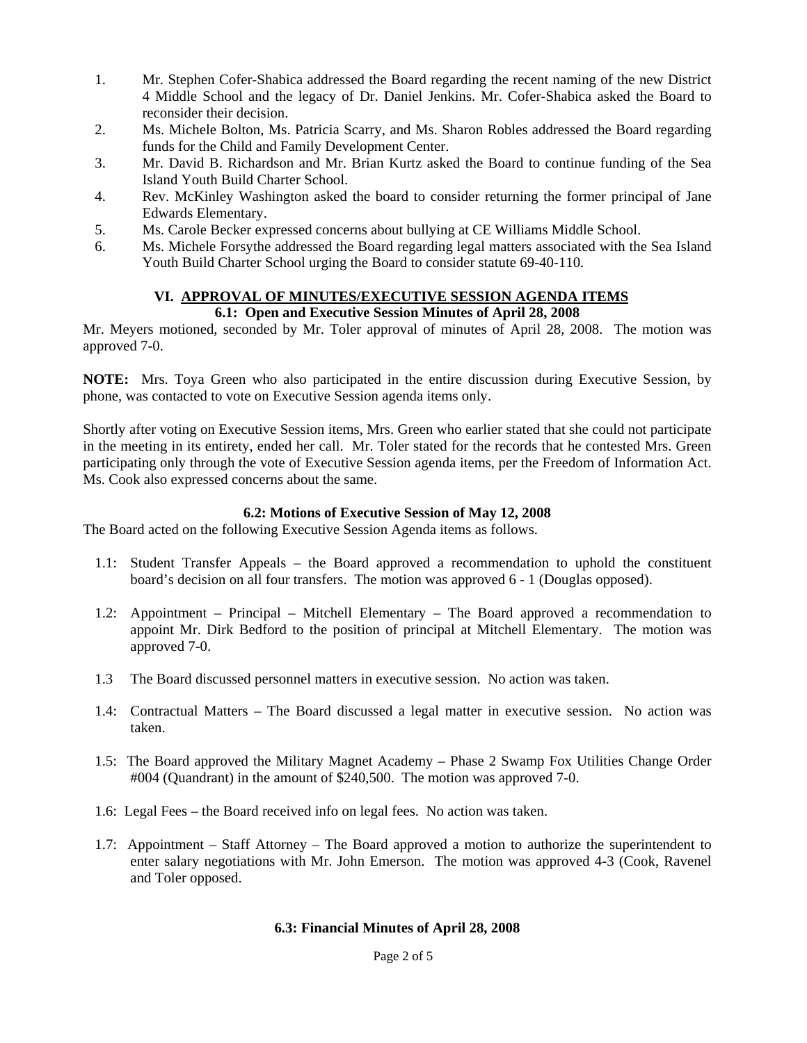- 1. Mr. Stephen Cofer-Shabica addressed the Board regarding the recent naming of the new District 4 Middle School and the legacy of Dr. Daniel Jenkins. Mr. Cofer-Shabica asked the Board to reconsider their decision.
- 2. Ms. Michele Bolton, Ms. Patricia Scarry, and Ms. Sharon Robles addressed the Board regarding funds for the Child and Family Development Center.
- 3. Mr. David B. Richardson and Mr. Brian Kurtz asked the Board to continue funding of the Sea Island Youth Build Charter School.
- 4. Rev. McKinley Washington asked the board to consider returning the former principal of Jane Edwards Elementary.
- 5. Ms. Carole Becker expressed concerns about bullying at CE Williams Middle School.
- 6. Ms. Michele Forsythe addressed the Board regarding legal matters associated with the Sea Island Youth Build Charter School urging the Board to consider statute 69-40-110.

#### **VI. APPROVAL OF MINUTES/EXECUTIVE SESSION AGENDA ITEMS 6.1: Open and Executive Session Minutes of April 28, 2008**

Mr. Meyers motioned, seconded by Mr. Toler approval of minutes of April 28, 2008. The motion was approved 7-0.

**NOTE:** Mrs. Toya Green who also participated in the entire discussion during Executive Session, by phone, was contacted to vote on Executive Session agenda items only.

Shortly after voting on Executive Session items, Mrs. Green who earlier stated that she could not participate in the meeting in its entirety, ended her call. Mr. Toler stated for the records that he contested Mrs. Green participating only through the vote of Executive Session agenda items, per the Freedom of Information Act. Ms. Cook also expressed concerns about the same.

# **6.2: Motions of Executive Session of May 12, 2008**

The Board acted on the following Executive Session Agenda items as follows.

- 1.1: Student Transfer Appeals the Board approved a recommendation to uphold the constituent board's decision on all four transfers. The motion was approved 6 - 1 (Douglas opposed).
- 1.2: Appointment Principal Mitchell Elementary The Board approved a recommendation to appoint Mr. Dirk Bedford to the position of principal at Mitchell Elementary. The motion was approved 7-0.
- 1.3 The Board discussed personnel matters in executive session. No action was taken.
- 1.4: Contractual Matters The Board discussed a legal matter in executive session. No action was taken.
- 1.5: The Board approved the Military Magnet Academy Phase 2 Swamp Fox Utilities Change Order #004 (Quandrant) in the amount of \$240,500. The motion was approved 7-0.
- 1.6: Legal Fees the Board received info on legal fees. No action was taken.
- 1.7: Appointment Staff Attorney The Board approved a motion to authorize the superintendent to enter salary negotiations with Mr. John Emerson. The motion was approved 4-3 (Cook, Ravenel and Toler opposed.

### **6.3: Financial Minutes of April 28, 2008**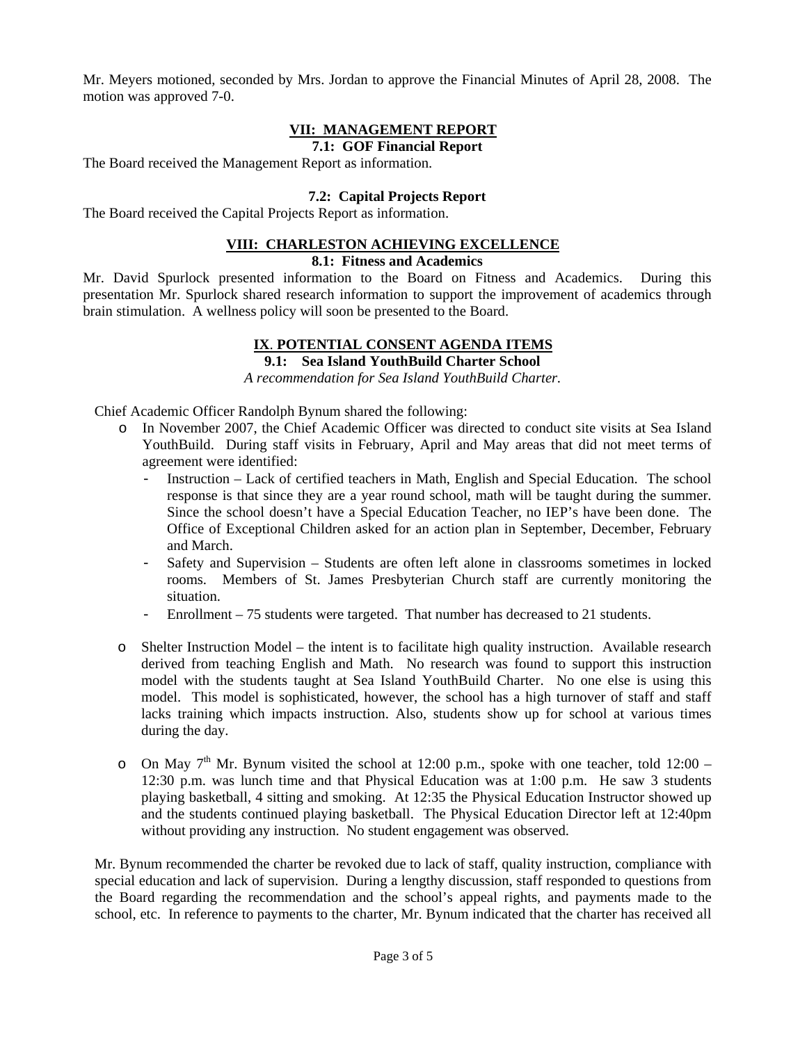Mr. Meyers motioned, seconded by Mrs. Jordan to approve the Financial Minutes of April 28, 2008. The motion was approved 7-0.

# **VII: MANAGEMENT REPORT**

**7.1: GOF Financial Report** 

The Board received the Management Report as information.

# **7.2: Capital Projects Report**

The Board received the Capital Projects Report as information.

### **VIII: CHARLESTON ACHIEVING EXCELLENCE**

#### **8.1: Fitness and Academics**

Mr. David Spurlock presented information to the Board on Fitness and Academics. During this presentation Mr. Spurlock shared research information to support the improvement of academics through brain stimulation. A wellness policy will soon be presented to the Board.

## **IX**. **POTENTIAL CONSENT AGENDA ITEMS**

**9.1: Sea Island YouthBuild Charter School** 

*A recommendation for Sea Island YouthBuild Charter.* 

Chief Academic Officer Randolph Bynum shared the following:

- o In November 2007, the Chief Academic Officer was directed to conduct site visits at Sea Island YouthBuild. During staff visits in February, April and May areas that did not meet terms of agreement were identified:
	- Instruction Lack of certified teachers in Math, English and Special Education. The school response is that since they are a year round school, math will be taught during the summer. Since the school doesn't have a Special Education Teacher, no IEP's have been done. The Office of Exceptional Children asked for an action plan in September, December, February and March.
	- Safety and Supervision Students are often left alone in classrooms sometimes in locked rooms. Members of St. James Presbyterian Church staff are currently monitoring the situation.
	- Enrollment 75 students were targeted. That number has decreased to 21 students.
- o Shelter Instruction Model the intent is to facilitate high quality instruction. Available research derived from teaching English and Math. No research was found to support this instruction model with the students taught at Sea Island YouthBuild Charter. No one else is using this model. This model is sophisticated, however, the school has a high turnover of staff and staff lacks training which impacts instruction. Also, students show up for school at various times during the day.
- o On May  $7<sup>th</sup>$  Mr. Bynum visited the school at 12:00 p.m., spoke with one teacher, told 12:00 12:30 p.m. was lunch time and that Physical Education was at 1:00 p.m. He saw 3 students playing basketball, 4 sitting and smoking. At 12:35 the Physical Education Instructor showed up and the students continued playing basketball. The Physical Education Director left at 12:40pm without providing any instruction. No student engagement was observed.

Mr. Bynum recommended the charter be revoked due to lack of staff, quality instruction, compliance with special education and lack of supervision. During a lengthy discussion, staff responded to questions from the Board regarding the recommendation and the school's appeal rights, and payments made to the school, etc. In reference to payments to the charter, Mr. Bynum indicated that the charter has received all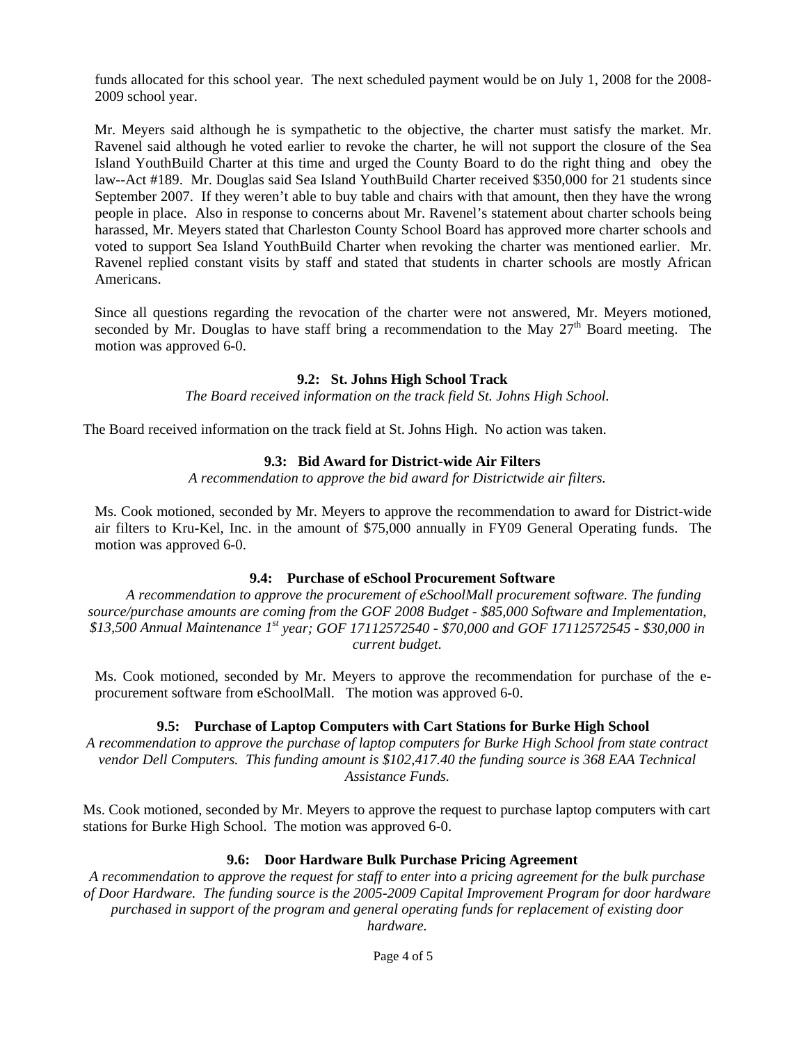funds allocated for this school year. The next scheduled payment would be on July 1, 2008 for the 2008- 2009 school year.

Mr. Meyers said although he is sympathetic to the objective, the charter must satisfy the market. Mr. Ravenel said although he voted earlier to revoke the charter, he will not support the closure of the Sea Island YouthBuild Charter at this time and urged the County Board to do the right thing and obey the law--Act #189. Mr. Douglas said Sea Island YouthBuild Charter received \$350,000 for 21 students since September 2007. If they weren't able to buy table and chairs with that amount, then they have the wrong people in place. Also in response to concerns about Mr. Ravenel's statement about charter schools being harassed, Mr. Meyers stated that Charleston County School Board has approved more charter schools and voted to support Sea Island YouthBuild Charter when revoking the charter was mentioned earlier. Mr. Ravenel replied constant visits by staff and stated that students in charter schools are mostly African Americans.

Since all questions regarding the revocation of the charter were not answered, Mr. Meyers motioned, seconded by Mr. Douglas to have staff bring a recommendation to the May  $27<sup>th</sup>$  Board meeting. The motion was approved 6-0.

### **9.2: St. Johns High School Track**

*The Board received information on the track field St. Johns High School.* 

The Board received information on the track field at St. Johns High. No action was taken.

### **9.3: Bid Award for District-wide Air Filters**

*A recommendation to approve the bid award for Districtwide air filters.* 

Ms. Cook motioned, seconded by Mr. Meyers to approve the recommendation to award for District-wide air filters to Kru-Kel, Inc. in the amount of \$75,000 annually in FY09 General Operating funds. The motion was approved 6-0.

### **9.4: Purchase of eSchool Procurement Software**

 *A recommendation to approve the procurement of eSchoolMall procurement software. The funding source/purchase amounts are coming from the GOF 2008 Budget - \$85,000 Software and Implementation, \$13,500 Annual Maintenance 1st year; GOF 17112572540 - \$70,000 and GOF 17112572545 - \$30,000 in current budget.* 

Ms. Cook motioned, seconded by Mr. Meyers to approve the recommendation for purchase of the eprocurement software from eSchoolMall. The motion was approved 6-0.

# **9.5: Purchase of Laptop Computers with Cart Stations for Burke High School**

*A recommendation to approve the purchase of laptop computers for Burke High School from state contract*  vendor Dell Computers. This funding amount is \$102,417.40 the funding source is 368 EAA Technical *Assistance Funds.* 

Ms. Cook motioned, seconded by Mr. Meyers to approve the request to purchase laptop computers with cart stations for Burke High School. The motion was approved 6-0.

### **9.6: Door Hardware Bulk Purchase Pricing Agreement**

*A recommendation to approve the request for staff to enter into a pricing agreement for the bulk purchase of Door Hardware. The funding source is the 2005-2009 Capital Improvement Program for door hardware purchased in support of the program and general operating funds for replacement of existing door hardware.*